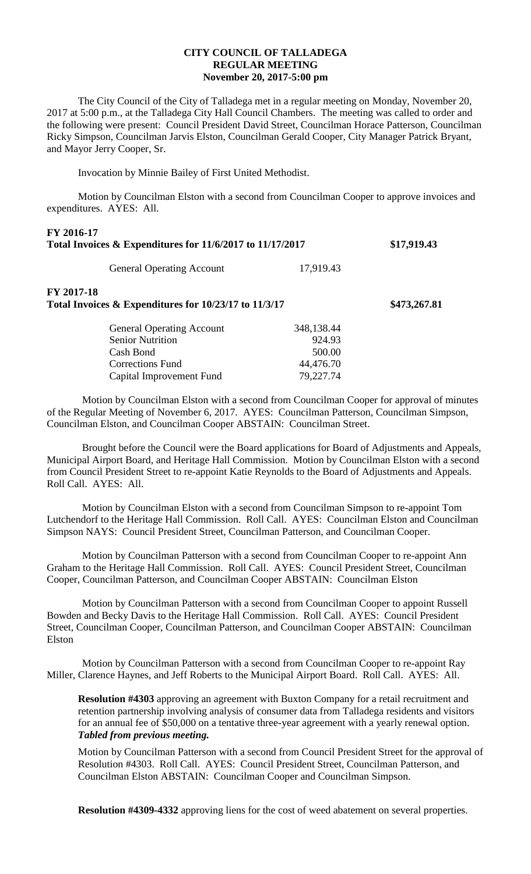## **CITY COUNCIL OF TALLADEGA REGULAR MEETING November 20, 2017-5:00 pm**

The City Council of the City of Talladega met in a regular meeting on Monday, November 20, 2017 at 5:00 p.m., at the Talladega City Hall Council Chambers. The meeting was called to order and the following were present: Council President David Street, Councilman Horace Patterson, Councilman Ricky Simpson, Councilman Jarvis Elston, Councilman Gerald Cooper, City Manager Patrick Bryant, and Mayor Jerry Cooper, Sr.

Invocation by Minnie Bailey of First United Methodist.

Motion by Councilman Elston with a second from Councilman Cooper to approve invoices and expenditures. AYES: All.

| FY 2016-17<br>Total Invoices & Expenditures for 11/6/2017 to 11/17/2017 |            | \$17,919.43  |
|-------------------------------------------------------------------------|------------|--------------|
| <b>General Operating Account</b>                                        | 17,919.43  |              |
| FY 2017-18<br>Total Invoices & Expenditures for 10/23/17 to 11/3/17     |            | \$473,267.81 |
| <b>General Operating Account</b>                                        | 348,138.44 |              |
| <b>Senior Nutrition</b>                                                 | 924.93     |              |
| Cash Bond                                                               | 500.00     |              |
| Corrections Fund                                                        | 44,476.70  |              |
| Capital Improvement Fund                                                | 79,227.74  |              |

Motion by Councilman Elston with a second from Councilman Cooper for approval of minutes of the Regular Meeting of November 6, 2017. AYES: Councilman Patterson, Councilman Simpson, Councilman Elston, and Councilman Cooper ABSTAIN: Councilman Street.

Brought before the Council were the Board applications for Board of Adjustments and Appeals, Municipal Airport Board, and Heritage Hall Commission. Motion by Councilman Elston with a second from Council President Street to re-appoint Katie Reynolds to the Board of Adjustments and Appeals. Roll Call. AYES: All.

Motion by Councilman Elston with a second from Councilman Simpson to re-appoint Tom Lutchendorf to the Heritage Hall Commission. Roll Call. AYES: Councilman Elston and Councilman Simpson NAYS: Council President Street, Councilman Patterson, and Councilman Cooper.

Motion by Councilman Patterson with a second from Councilman Cooper to re-appoint Ann Graham to the Heritage Hall Commission. Roll Call. AYES: Council President Street, Councilman Cooper, Councilman Patterson, and Councilman Cooper ABSTAIN: Councilman Elston

Motion by Councilman Patterson with a second from Councilman Cooper to appoint Russell Bowden and Becky Davis to the Heritage Hall Commission. Roll Call. AYES: Council President Street, Councilman Cooper, Councilman Patterson, and Councilman Cooper ABSTAIN: Councilman Elston

Motion by Councilman Patterson with a second from Councilman Cooper to re-appoint Ray Miller, Clarence Haynes, and Jeff Roberts to the Municipal Airport Board. Roll Call. AYES: All.

**Resolution #4303** approving an agreement with Buxton Company for a retail recruitment and retention partnership involving analysis of consumer data from Talladega residents and visitors for an annual fee of \$50,000 on a tentative three-year agreement with a yearly renewal option. *Tabled from previous meeting.*

Motion by Councilman Patterson with a second from Council President Street for the approval of Resolution #4303. Roll Call. AYES: Council President Street, Councilman Patterson, and Councilman Elston ABSTAIN: Councilman Cooper and Councilman Simpson.

**Resolution #4309-4332** approving liens for the cost of weed abatement on several properties.